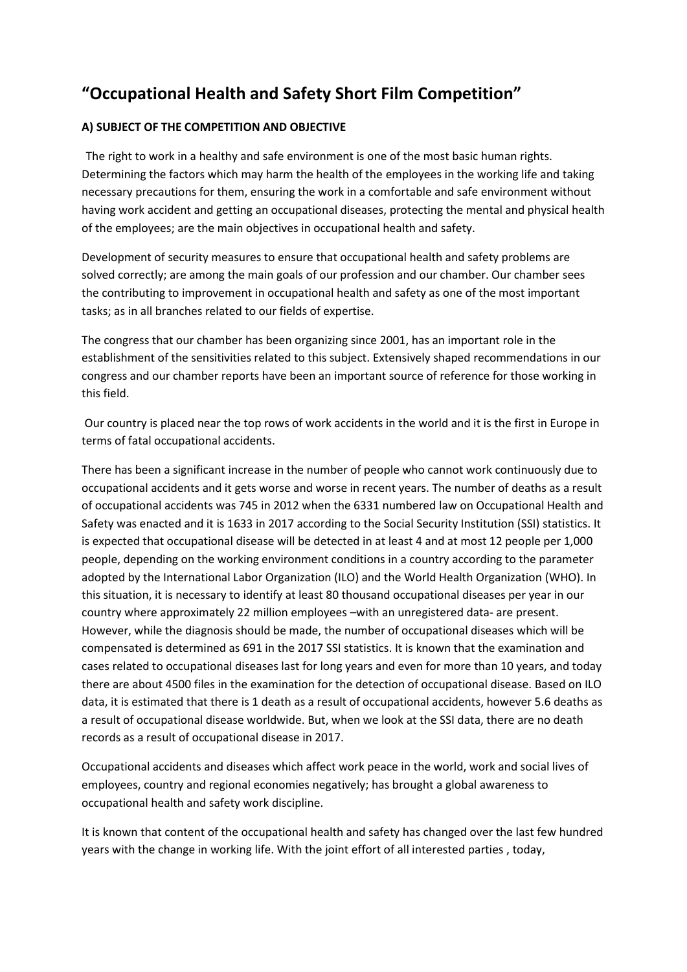# **"Occupational Health and Safety Short Film Competition"**

# **A) SUBJECT OF THE COMPETITION AND OBJECTIVE**

The right to work in a healthy and safe environment is one of the most basic human rights. Determining the factors which may harm the health of the employees in the working life and taking necessary precautions for them, ensuring the work in a comfortable and safe environment without having work accident and getting an occupational diseases, protecting the mental and physical health of the employees; are the main objectives in occupational health and safety.

Development of security measures to ensure that occupational health and safety problems are solved correctly; are among the main goals of our profession and our chamber. Our chamber sees the contributing to improvement in occupational health and safety as one of the most important tasks; as in all branches related to our fields of expertise.

The congress that our chamber has been organizing since 2001, has an important role in the establishment of the sensitivities related to this subject. Extensively shaped recommendations in our congress and our chamber reports have been an important source of reference for those working in this field.

Our country is placed near the top rows of work accidents in the world and it is the first in Europe in terms of fatal occupational accidents.

There has been a significant increase in the number of people who cannot work continuously due to occupational accidents and it gets worse and worse in recent years. The number of deaths as a result of occupational accidents was 745 in 2012 when the 6331 numbered law on Occupational Health and Safety was enacted and it is 1633 in 2017 according to the Social Security Institution (SSI) statistics. It is expected that occupational disease will be detected in at least 4 and at most 12 people per 1,000 people, depending on the working environment conditions in a country according to the parameter adopted by the International Labor Organization (ILO) and the World Health Organization (WHO). In this situation, it is necessary to identify at least 80 thousand occupational diseases per year in our country where approximately 22 million employees –with an unregistered data- are present. However, while the diagnosis should be made, the number of occupational diseases which will be compensated is determined as 691 in the 2017 SSI statistics. It is known that the examination and cases related to occupational diseases last for long years and even for more than 10 years, and today there are about 4500 files in the examination for the detection of occupational disease. Based on ILO data, it is estimated that there is 1 death as a result of occupational accidents, however 5.6 deaths as a result of occupational disease worldwide. But, when we look at the SSI data, there are no death records as a result of occupational disease in 2017.

Occupational accidents and diseases which affect work peace in the world, work and social lives of employees, country and regional economies negatively; has brought a global awareness to occupational health and safety work discipline.

It is known that content of the occupational health and safety has changed over the last few hundred years with the change in working life. With the joint effort of all interested parties , today,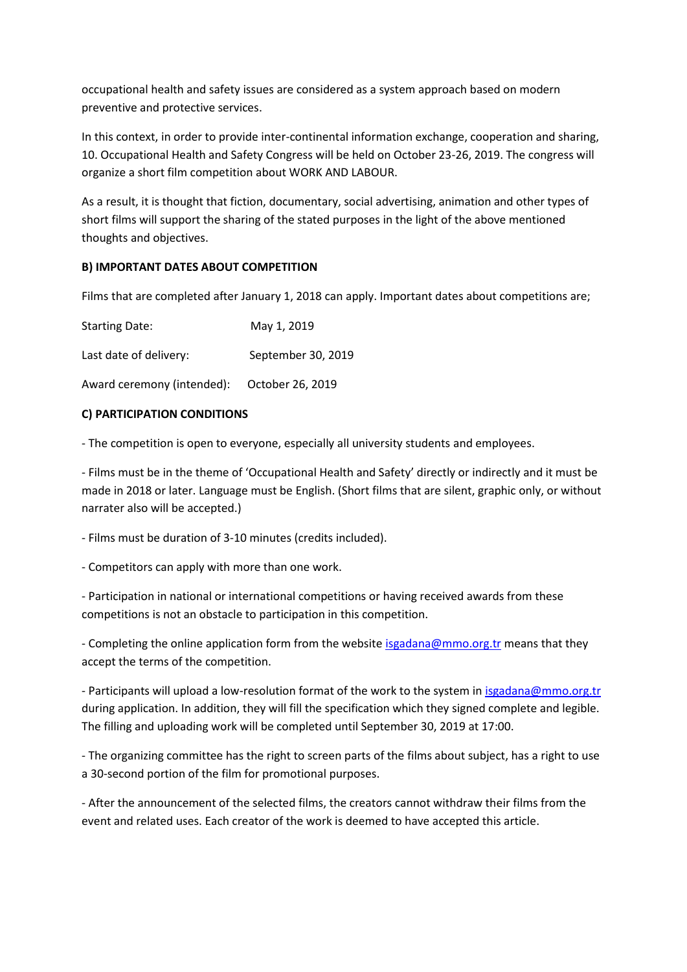occupational health and safety issues are considered as a system approach based on modern preventive and protective services.

In this context, in order to provide inter-continental information exchange, cooperation and sharing, 10. Occupational Health and Safety Congress will be held on October 23-26, 2019. The congress will organize a short film competition about WORK AND LABOUR.

As a result, it is thought that fiction, documentary, social advertising, animation and other types of short films will support the sharing of the stated purposes in the light of the above mentioned thoughts and objectives.

# **B) IMPORTANT DATES ABOUT COMPETITION**

Films that are completed after January 1, 2018 can apply. Important dates about competitions are;

| <b>Starting Date:</b>      | May 1, 2019        |
|----------------------------|--------------------|
| Last date of delivery:     | September 30, 2019 |
| Award ceremony (intended): | October 26, 2019   |

### **C) PARTICIPATION CONDITIONS**

- The competition is open to everyone, especially all university students and employees.

- Films must be in the theme of 'Occupational Health and Safety' directly or indirectly and it must be made in 2018 or later. Language must be English. (Short films that are silent, graphic only, or without narrater also will be accepted.)

- Films must be duration of 3-10 minutes (credits included).

- Competitors can apply with more than one work.

- Participation in national or international competitions or having received awards from these competitions is not an obstacle to participation in this competition.

- Completing the online application form from the website [isgadana@mmo.org.tr](mailto:isgadana@mmo.org.tr) means that they accept the terms of the competition.

- Participants will upload a low-resolution format of the work to the system i[n isgadana@mmo.org.tr](mailto:isgadana@mmo.org.tr) during application. In addition, they will fill the specification which they signed complete and legible. The filling and uploading work will be completed until September 30, 2019 at 17:00.

- The organizing committee has the right to screen parts of the films about subject, has a right to use a 30-second portion of the film for promotional purposes.

- After the announcement of the selected films, the creators cannot withdraw their films from the event and related uses. Each creator of the work is deemed to have accepted this article.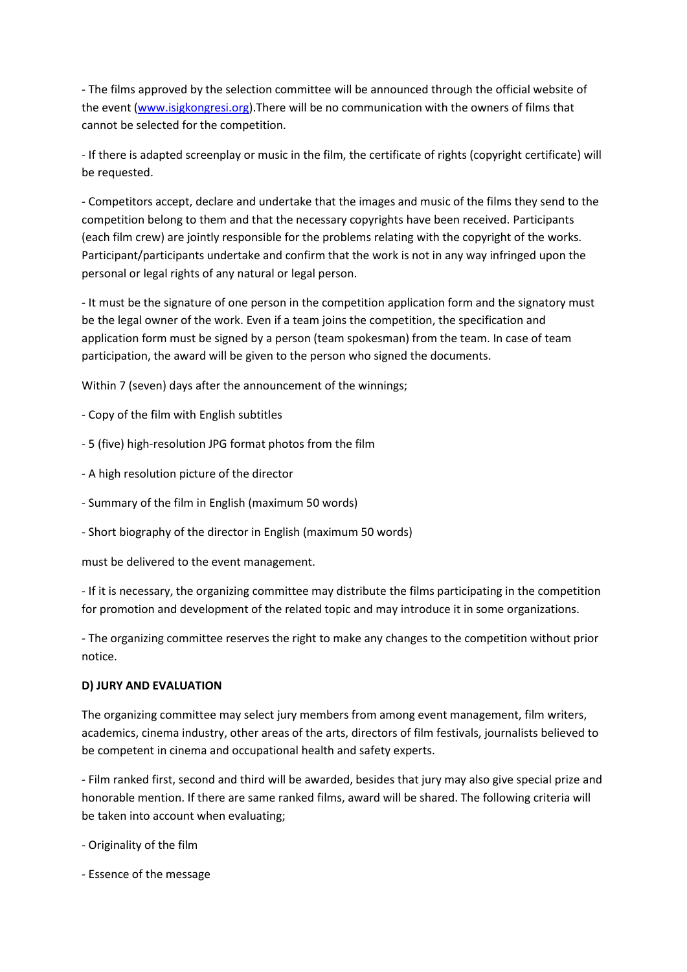- The films approved by the selection committee will be announced through the official website of the event [\(www.isigkongresi.org\)](http://www.isigkongresi.org/). There will be no communication with the owners of films that cannot be selected for the competition.

- If there is adapted screenplay or music in the film, the certificate of rights (copyright certificate) will be requested.

- Competitors accept, declare and undertake that the images and music of the films they send to the competition belong to them and that the necessary copyrights have been received. Participants (each film crew) are jointly responsible for the problems relating with the copyright of the works. Participant/participants undertake and confirm that the work is not in any way infringed upon the personal or legal rights of any natural or legal person.

- It must be the signature of one person in the competition application form and the signatory must be the legal owner of the work. Even if a team joins the competition, the specification and application form must be signed by a person (team spokesman) from the team. In case of team participation, the award will be given to the person who signed the documents.

Within 7 (seven) days after the announcement of the winnings;

- Copy of the film with English subtitles
- 5 (five) high-resolution JPG format photos from the film
- A high resolution picture of the director
- Summary of the film in English (maximum 50 words)
- Short biography of the director in English (maximum 50 words)

must be delivered to the event management.

- If it is necessary, the organizing committee may distribute the films participating in the competition for promotion and development of the related topic and may introduce it in some organizations.

- The organizing committee reserves the right to make any changes to the competition without prior notice.

#### **D) JURY AND EVALUATION**

The organizing committee may select jury members from among event management, film writers, academics, cinema industry, other areas of the arts, directors of film festivals, journalists believed to be competent in cinema and occupational health and safety experts.

- Film ranked first, second and third will be awarded, besides that jury may also give special prize and honorable mention. If there are same ranked films, award will be shared. The following criteria will be taken into account when evaluating;

- Originality of the film
- Essence of the message